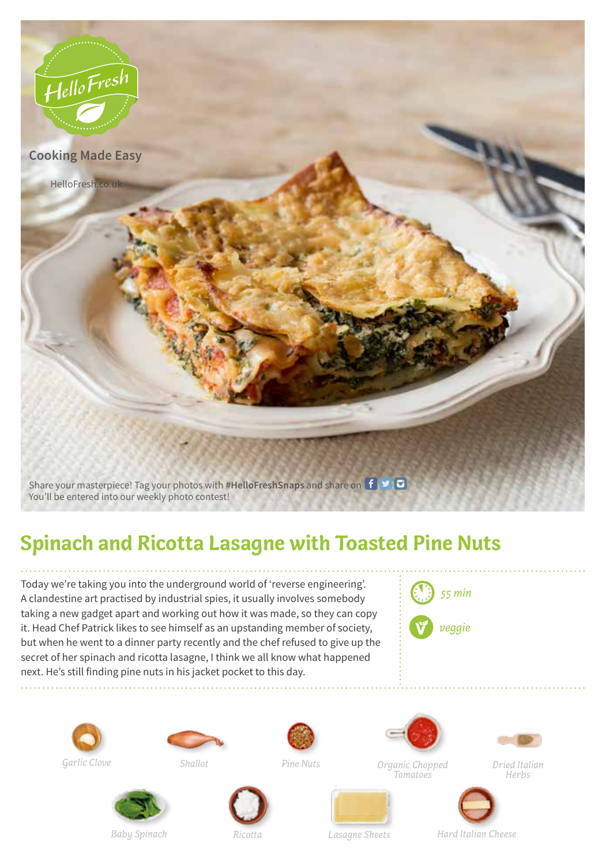

## **Spinach and Ricotta Lasagne with Toasted Pine Nuts**

Today we're taking you into the underground world of 'reverse engineering'. A clandestine art practised by industrial spies, it usually involves somebody taking a new gadget apart and working out how it was made, so they can copy it. Head Chef Patrick likes to see himself as an upstanding member of society, but when he went to a dinner party recently and the chef refused to give up the secret of her spinach and ricotta lasagne, I think we all know what happened next. He's still finding pine nuts in his jacket pocket to this day.











*Garlic Clove Shallot Pine Nuts Organic Chopped Tomatoes*



*Dried Italian Herbs*







*Baby Spinach Ricotta Lasagne Sheets Hard Italian Cheese*